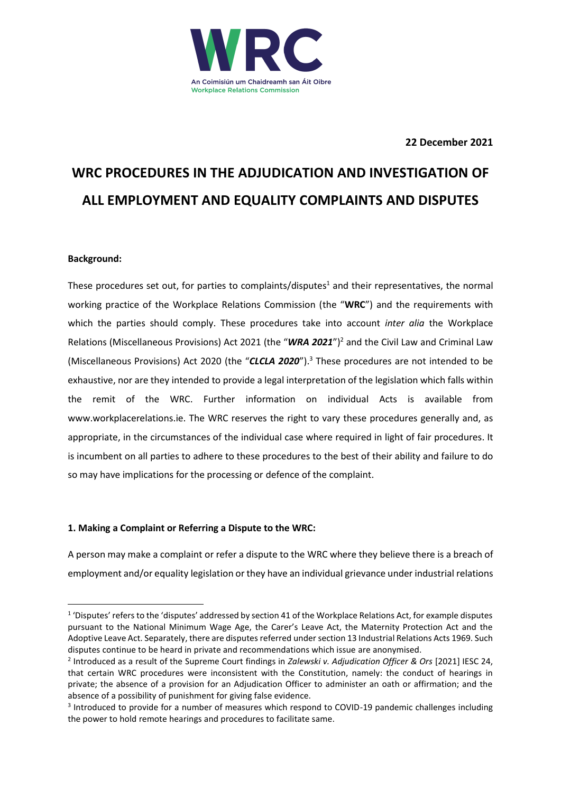

**22 December 2021**

# **WRC PROCEDURES IN THE ADJUDICATION AND INVESTIGATION OF ALL EMPLOYMENT AND EQUALITY COMPLAINTS AND DISPUTES**

# **Background:**

These procedures set out, for parties to complaints/disputes<sup>1</sup> and their representatives, the normal working practice of the Workplace Relations Commission (the "**WRC**") and the requirements with which the parties should comply. These procedures take into account *inter alia* the Workplace Relations (Miscellaneous Provisions) Act 2021 (the "*WRA 2021*")<sup>2</sup> and the Civil Law and Criminal Law (Miscellaneous Provisions) Act 2020 (the "*CLCLA 2020*"). <sup>3</sup> These procedures are not intended to be exhaustive, nor are they intended to provide a legal interpretation of the legislation which falls within the remit of the WRC. Further information on individual Acts is available from www.workplacerelations.ie. The WRC reserves the right to vary these procedures generally and, as appropriate, in the circumstances of the individual case where required in light of fair procedures. It is incumbent on all parties to adhere to these procedures to the best of their ability and failure to do so may have implications for the processing or defence of the complaint.

# **1. Making a Complaint or Referring a Dispute to the WRC:**

A person may make a complaint or refer a dispute to the WRC where they believe there is a breach of employment and/or equality legislation or they have an individual grievance under industrial relations

<sup>&</sup>lt;sup>1</sup> 'Disputes' refers to the 'disputes' addressed by section 41 of the Workplace Relations Act, for example disputes pursuant to the National Minimum Wage Age, the Carer's Leave Act, the Maternity Protection Act and the Adoptive Leave Act. Separately, there are disputes referred under section 13 Industrial Relations Acts 1969. Such disputes continue to be heard in private and recommendations which issue are anonymised.

<sup>2</sup> Introduced as a result of the Supreme Court findings in *Zalewski v. Adjudication Officer & Ors* [2021] IESC 24, that certain WRC procedures were inconsistent with the Constitution, namely: the conduct of hearings in private; the absence of a provision for an Adjudication Officer to administer an oath or affirmation; and the absence of a possibility of punishment for giving false evidence.

<sup>&</sup>lt;sup>3</sup> Introduced to provide for a number of measures which respond to COVID-19 pandemic challenges including the power to hold remote hearings and procedures to facilitate same.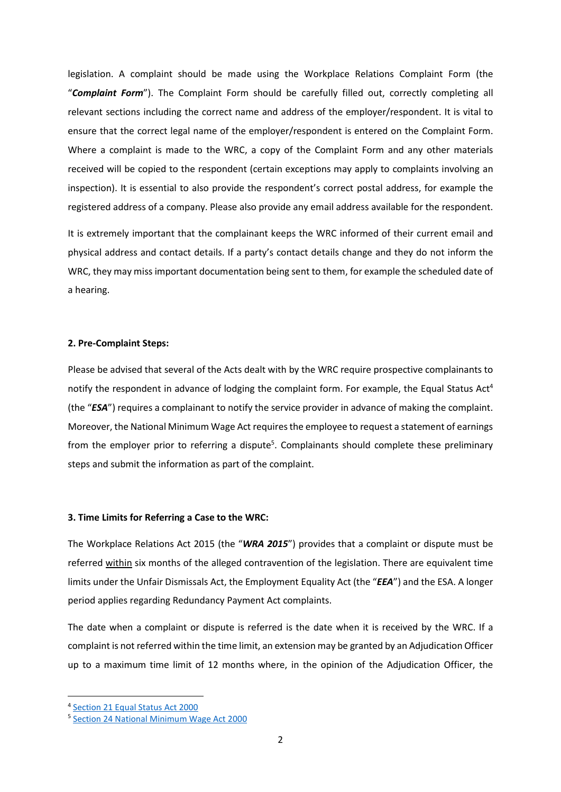legislation. A complaint should be made using the Workplace Relations Complaint Form (the "*Complaint Form*"). The Complaint Form should be carefully filled out, correctly completing all relevant sections including the correct name and address of the employer/respondent. It is vital to ensure that the correct legal name of the employer/respondent is entered on the Complaint Form. Where a complaint is made to the WRC, a copy of the Complaint Form and any other materials received will be copied to the respondent (certain exceptions may apply to complaints involving an inspection). It is essential to also provide the respondent's correct postal address, for example the registered address of a company. Please also provide any email address available for the respondent.

It is extremely important that the complainant keeps the WRC informed of their current email and physical address and contact details. If a party's contact details change and they do not inform the WRC, they may miss important documentation being sent to them, for example the scheduled date of a hearing.

## **2. Pre-Complaint Steps:**

Please be advised that several of the Acts dealt with by the WRC require prospective complainants to notify the respondent in advance of lodging the complaint form. For example, the Equal Status Act<sup>4</sup> (the "*ESA*") requires a complainant to notify the service provider in advance of making the complaint. Moreover, the National Minimum Wage Act requires the employee to request a statement of earnings from the employer prior to referring a dispute<sup>5</sup>. Complainants should complete these preliminary steps and submit the information as part of the complaint.

#### **3. Time Limits for Referring a Case to the WRC:**

The Workplace Relations Act 2015 (the "*WRA 2015*") provides that a complaint or dispute must be referred within six months of the alleged contravention of the legislation. There are equivalent time limits under the Unfair Dismissals Act, the Employment Equality Act (the "*EEA*") and the ESA. A longer period applies regarding Redundancy Payment Act complaints.

The date when a complaint or dispute is referred is the date when it is received by the WRC. If a complaint is not referred within the time limit, an extension may be granted by an Adjudication Officer up to a maximum time limit of 12 months where, in the opinion of the Adjudication Officer, the

<sup>&</sup>lt;sup>4</sup> [Section 21 Equal Status Act 2000](https://revisedacts.lawreform.ie/eli/2000/act/8/revised/en/html#SEC21)

<sup>&</sup>lt;sup>5</sup> [Section 24 National Minimum Wage Act 2000](https://revisedacts.lawreform.ie/eli/2000/act/5/section/24/revised/en/html)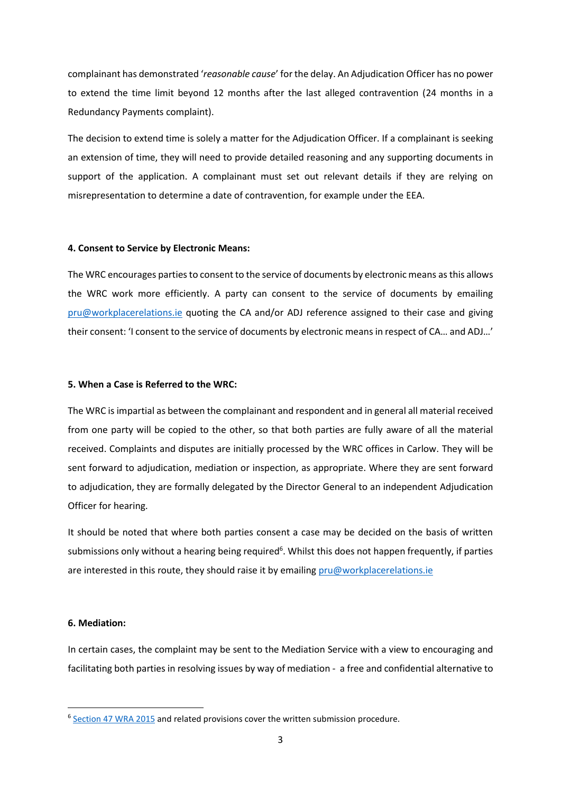complainant has demonstrated '*reasonable cause*' for the delay. An Adjudication Officer has no power to extend the time limit beyond 12 months after the last alleged contravention (24 months in a Redundancy Payments complaint).

The decision to extend time is solely a matter for the Adjudication Officer. If a complainant is seeking an extension of time, they will need to provide detailed reasoning and any supporting documents in support of the application. A complainant must set out relevant details if they are relying on misrepresentation to determine a date of contravention, for example under the EEA.

#### **4. Consent to Service by Electronic Means:**

The WRC encourages parties to consent to the service of documents by electronic means as this allows the WRC work more efficiently. A party can consent to the service of documents by emailing [pru@workplacerelations.ie](mailto:pru@workplacerelations.ie) quoting the CA and/or ADJ reference assigned to their case and giving their consent: 'I consent to the service of documents by electronic means in respect of CA… and ADJ…'

#### **5. When a Case is Referred to the WRC:**

The WRC is impartial as between the complainant and respondent and in general all material received from one party will be copied to the other, so that both parties are fully aware of all the material received. Complaints and disputes are initially processed by the WRC offices in Carlow. They will be sent forward to adjudication, mediation or inspection, as appropriate. Where they are sent forward to adjudication, they are formally delegated by the Director General to an independent Adjudication Officer for hearing.

It should be noted that where both parties consent a case may be decided on the basis of written submissions only without a hearing being required<sup>6</sup>. Whilst this does not happen frequently, if parties are interested in this route, they should raise it by emailing  $pru@workplacement$ 

#### **6. Mediation:**

In certain cases, the complaint may be sent to the Mediation Service with a view to encouraging and facilitating both parties in resolving issues by way of mediation - a free and confidential alternative to

<sup>&</sup>lt;sup>6</sup> [Section 47 WRA 2015](https://revisedacts.lawreform.ie/eli/2015/act/16/section/47/revised/en/html) and related provisions cover the written submission procedure.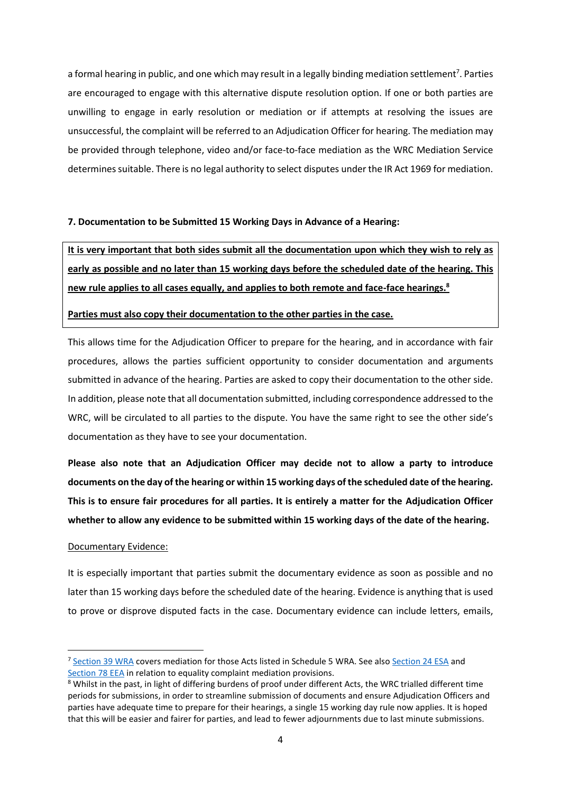a formal hearing in public, and one which may result in a legally binding mediation settlement<sup>7</sup>. Parties are encouraged to engage with this alternative dispute resolution option. If one or both parties are unwilling to engage in early resolution or mediation or if attempts at resolving the issues are unsuccessful, the complaint will be referred to an Adjudication Officer for hearing. The mediation may be provided through telephone, video and/or face-to-face mediation as the WRC Mediation Service determines suitable. There is no legal authority to select disputes under the IR Act 1969 for mediation.

## **7. Documentation to be Submitted 15 Working Days in Advance of a Hearing:**

**It is very important that both sides submit all the documentation upon which they wish to rely as early as possible and no later than 15 working days before the scheduled date of the hearing. This new rule applies to all cases equally, and applies to both remote and face-face hearings.<sup>8</sup>**

# **Parties must also copy their documentation to the other parties in the case.**

This allows time for the Adjudication Officer to prepare for the hearing, and in accordance with fair procedures, allows the parties sufficient opportunity to consider documentation and arguments submitted in advance of the hearing. Parties are asked to copy their documentation to the other side. In addition, please note that all documentation submitted, including correspondence addressed to the WRC, will be circulated to all parties to the dispute. You have the same right to see the other side's documentation as they have to see your documentation.

**Please also note that an Adjudication Officer may decide not to allow a party to introduce documents on the day of the hearing or within 15 working days of the scheduled date of the hearing. This is to ensure fair procedures for all parties. It is entirely a matter for the Adjudication Officer whether to allow any evidence to be submitted within 15 working days of the date of the hearing.**

## Documentary Evidence:

It is especially important that parties submit the documentary evidence as soon as possible and no later than 15 working days before the scheduled date of the hearing. Evidence is anything that is used to prove or disprove disputed facts in the case. Documentary evidence can include letters, emails,

<sup>&</sup>lt;sup>7</sup> [Section 39 WRA](https://revisedacts.lawreform.ie/eli/2015/act/16/section/39/revised/en/html) covers mediation for those Acts listed in Schedule 5 WRA. See als[o Section 24 ESA](https://revisedacts.lawreform.ie/eli/2000/act/8/section/24/revised/en/html) and [Section 78 EEA](https://revisedacts.lawreform.ie/eli/1998/act/21/section/78/revised/en/html) in relation to equality complaint mediation provisions.

<sup>8</sup> Whilst in the past, in light of differing burdens of proof under different Acts, the WRC trialled different time periods for submissions, in order to streamline submission of documents and ensure Adjudication Officers and parties have adequate time to prepare for their hearings, a single 15 working day rule now applies. It is hoped that this will be easier and fairer for parties, and lead to fewer adjournments due to last minute submissions.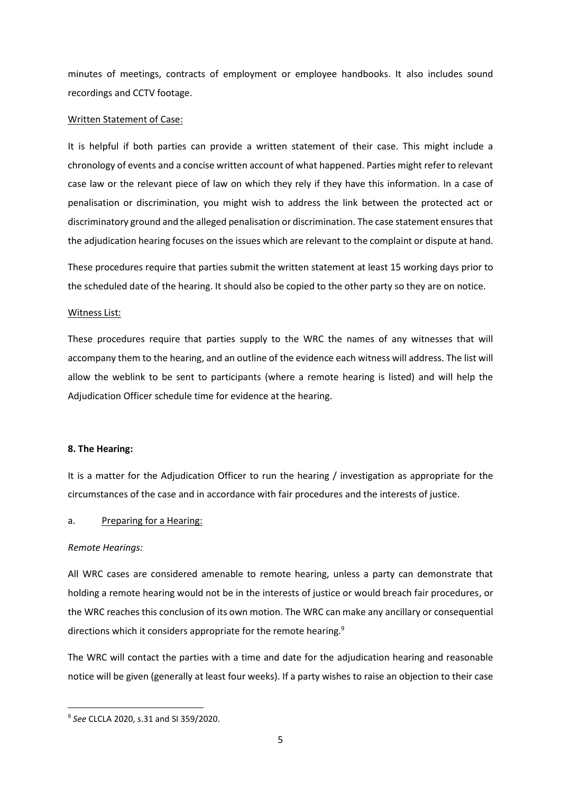minutes of meetings, contracts of employment or employee handbooks. It also includes sound recordings and CCTV footage.

## Written Statement of Case:

It is helpful if both parties can provide a written statement of their case. This might include a chronology of events and a concise written account of what happened. Parties might refer to relevant case law or the relevant piece of law on which they rely if they have this information. In a case of penalisation or discrimination, you might wish to address the link between the protected act or discriminatory ground and the alleged penalisation or discrimination. The case statement ensures that the adjudication hearing focuses on the issues which are relevant to the complaint or dispute at hand.

These procedures require that parties submit the written statement at least 15 working days prior to the scheduled date of the hearing. It should also be copied to the other party so they are on notice.

## Witness List:

These procedures require that parties supply to the WRC the names of any witnesses that will accompany them to the hearing, and an outline of the evidence each witness will address. The list will allow the weblink to be sent to participants (where a remote hearing is listed) and will help the Adjudication Officer schedule time for evidence at the hearing.

## **8. The Hearing:**

It is a matter for the Adjudication Officer to run the hearing / investigation as appropriate for the circumstances of the case and in accordance with fair procedures and the interests of justice.

## a. Preparing for a Hearing:

## *Remote Hearings:*

All WRC cases are considered amenable to remote hearing, unless a party can demonstrate that holding a remote hearing would not be in the interests of justice or would breach fair procedures, or the WRC reaches this conclusion of its own motion. The WRC can make any ancillary or consequential directions which it considers appropriate for the remote hearing.<sup>9</sup>

The WRC will contact the parties with a time and date for the adjudication hearing and reasonable notice will be given (generally at least four weeks). If a party wishes to raise an objection to their case

<sup>9</sup> *See* CLCLA 2020, s.31 and SI 359/2020.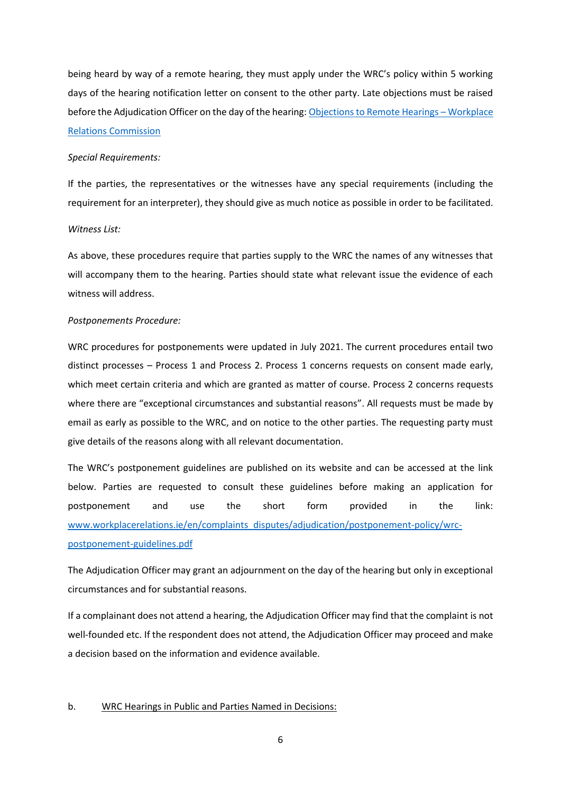being heard by way of a remote hearing, they must apply under the WRC's policy within 5 working days of the hearing notification letter on consent to the other party. Late objections must be raised before the Adjudication Officer on the day of the hearing[: Objections to Remote Hearings](https://www.workplacerelations.ie/en/complaints_disputes/adjudication/objections-to-remote-hearings/) – Workplace [Relations Commission](https://www.workplacerelations.ie/en/complaints_disputes/adjudication/objections-to-remote-hearings/)

#### *Special Requirements:*

If the parties, the representatives or the witnesses have any special requirements (including the requirement for an interpreter), they should give as much notice as possible in order to be facilitated.

#### *Witness List:*

As above, these procedures require that parties supply to the WRC the names of any witnesses that will accompany them to the hearing. Parties should state what relevant issue the evidence of each witness will address.

## *Postponements Procedure:*

WRC procedures for postponements were updated in July 2021. The current procedures entail two distinct processes – Process 1 and Process 2. Process 1 concerns requests on consent made early, which meet certain criteria and which are granted as matter of course. Process 2 concerns requests where there are "exceptional circumstances and substantial reasons". All requests must be made by email as early as possible to the WRC, and on notice to the other parties. The requesting party must give details of the reasons along with all relevant documentation.

The WRC's postponement guidelines are published on its website and can be accessed at the link below. Parties are requested to consult these guidelines before making an application for postponement and use the short form provided in the link: [www.workplacerelations.ie/en/complaints\\_disputes/adjudication/postponement-policy/wrc](http://www.workplacerelations.ie/en/complaints_disputes/adjudication/postponement-policy/wrc-postponement-guidelines.pdf)[postponement-guidelines.pdf](http://www.workplacerelations.ie/en/complaints_disputes/adjudication/postponement-policy/wrc-postponement-guidelines.pdf)

The Adjudication Officer may grant an adjournment on the day of the hearing but only in exceptional circumstances and for substantial reasons.

If a complainant does not attend a hearing, the Adjudication Officer may find that the complaint is not well-founded etc. If the respondent does not attend, the Adjudication Officer may proceed and make a decision based on the information and evidence available.

## b. WRC Hearings in Public and Parties Named in Decisions: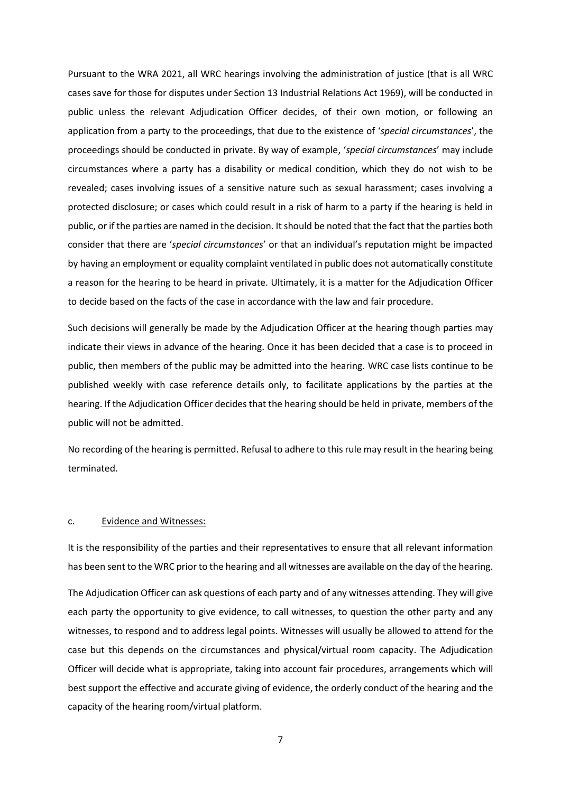Pursuant to the WRA 2021, all WRC hearings involving the administration of justice (that is all WRC cases save for those for disputes under Section 13 Industrial Relations Act 1969), will be conducted in public unless the relevant Adjudication Officer decides, of their own motion, or following an application from a party to the proceedings, that due to the existence of '*special circumstances*', the proceedings should be conducted in private. By way of example, '*special circumstances*' may include circumstances where a party has a disability or medical condition, which they do not wish to be revealed; cases involving issues of a sensitive nature such as sexual harassment; cases involving a protected disclosure; or cases which could result in a risk of harm to a party if the hearing is held in public, or if the parties are named in the decision. It should be noted that the fact that the parties both consider that there are '*special circumstances*' or that an individual's reputation might be impacted by having an employment or equality complaint ventilated in public does not automatically constitute a reason for the hearing to be heard in private. Ultimately, it is a matter for the Adjudication Officer to decide based on the facts of the case in accordance with the law and fair procedure.

Such decisions will generally be made by the Adjudication Officer at the hearing though parties may indicate their views in advance of the hearing. Once it has been decided that a case is to proceed in public, then members of the public may be admitted into the hearing. WRC case lists continue to be published weekly with case reference details only, to facilitate applications by the parties at the hearing. If the Adjudication Officer decides that the hearing should be held in private, members of the public will not be admitted.

No recording of the hearing is permitted. Refusal to adhere to this rule may result in the hearing being terminated.

#### c. Evidence and Witnesses:

It is the responsibility of the parties and their representatives to ensure that all relevant information has been sent to the WRC prior to the hearing and all witnesses are available on the day of the hearing.

The Adjudication Officer can ask questions of each party and of any witnesses attending. They will give each party the opportunity to give evidence, to call witnesses, to question the other party and any witnesses, to respond and to address legal points. Witnesses will usually be allowed to attend for the case but this depends on the circumstances and physical/virtual room capacity. The Adjudication Officer will decide what is appropriate, taking into account fair procedures, arrangements which will best support the effective and accurate giving of evidence, the orderly conduct of the hearing and the capacity of the hearing room/virtual platform.

7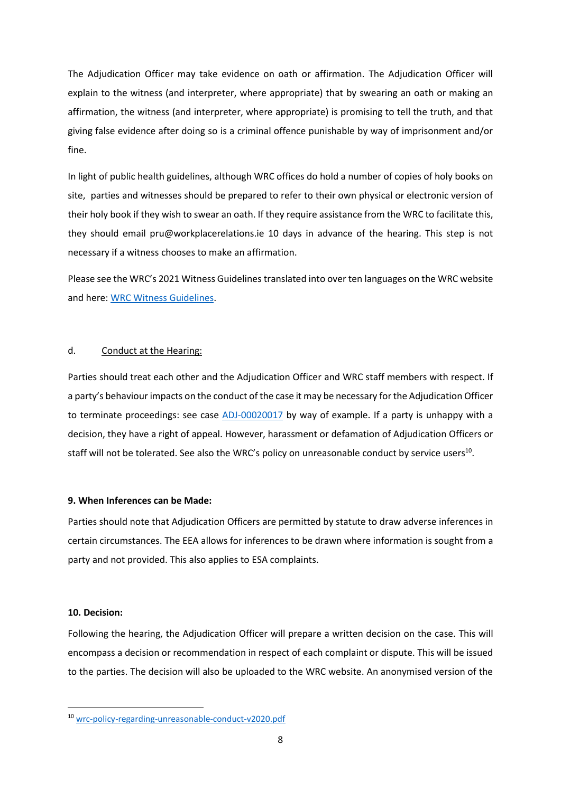The Adjudication Officer may take evidence on oath or affirmation. The Adjudication Officer will explain to the witness (and interpreter, where appropriate) that by swearing an oath or making an affirmation, the witness (and interpreter, where appropriate) is promising to tell the truth, and that giving false evidence after doing so is a criminal offence punishable by way of imprisonment and/or fine.

In light of public health guidelines, although WRC offices do hold a number of copies of holy books on site, parties and witnesses should be prepared to refer to their own physical or electronic version of their holy book if they wish to swear an oath. If they require assistance from the WRC to facilitate this, they should email pru@workplacerelations.ie 10 days in advance of the hearing. This step is not necessary if a witness chooses to make an affirmation.

Please see the WRC's 2021 Witness Guidelines translated into over ten languages on the WRC website and here: [WRC Witness Guidelines.](https://www.workplacerelations.ie/en/complaints_disputes/adjudication/wrc-witness-guidelines/)

# d. Conduct at the Hearing:

Parties should treat each other and the Adjudication Officer and WRC staff members with respect. If a party's behaviour impacts on the conduct of the case it may be necessary for the Adjudication Officer to terminate proceedings: see case **ADJ-00020017** by way of example. If a party is unhappy with a decision, they have a right of appeal. However, harassment or defamation of Adjudication Officers or staff will not be tolerated. See also the WRC's policy on unreasonable conduct by service users<sup>10</sup>.

# **9. When Inferences can be Made:**

Parties should note that Adjudication Officers are permitted by statute to draw adverse inferences in certain circumstances. The EEA allows for inferences to be drawn where information is sought from a party and not provided. This also applies to ESA complaints.

# **10. Decision:**

Following the hearing, the Adjudication Officer will prepare a written decision on the case. This will encompass a decision or recommendation in respect of each complaint or dispute. This will be issued to the parties. The decision will also be uploaded to the WRC website. An anonymised version of the

<sup>10</sup> [wrc-policy-regarding-unreasonable-conduct-v2020.pdf](https://www.workplacerelations.ie/en/publications_forms/wrc-policy-regarding-unreasonable-conduct-v2020.pdf)